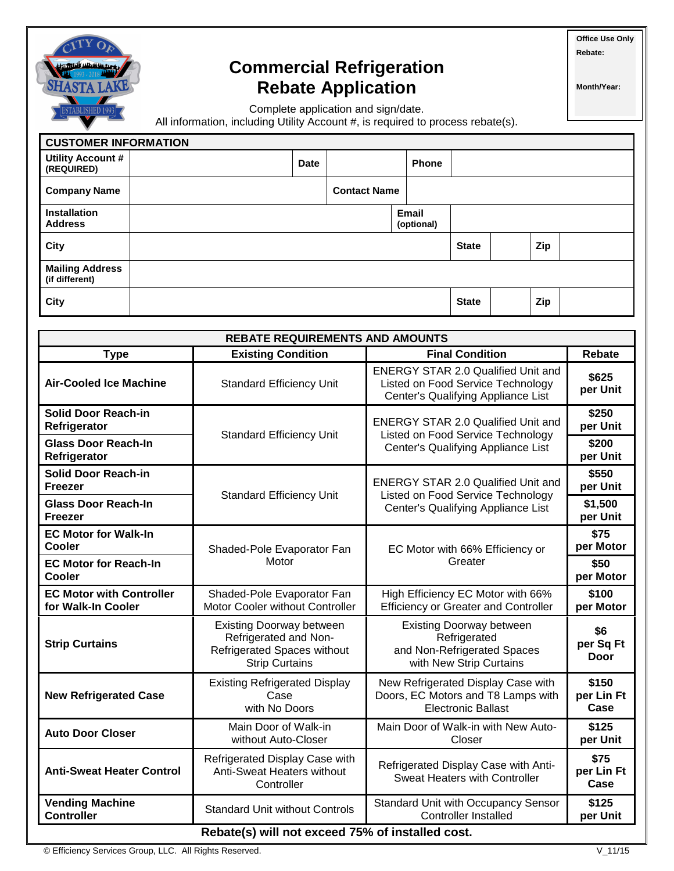

## **Commercial Refrigeration Rebate Application**

**Office Use Only Rebate:** 

**Month/Year:**

Complete application and sign/date.

All information, including Utility Account #, is required to process rebate(s).

| <b>CUSTOMER INFORMATION</b>              |  |             |                     |                            |              |  |     |  |
|------------------------------------------|--|-------------|---------------------|----------------------------|--------------|--|-----|--|
| <b>Utility Account #</b><br>(REQUIRED)   |  | <b>Date</b> |                     | <b>Phone</b>               |              |  |     |  |
| <b>Company Name</b>                      |  |             | <b>Contact Name</b> |                            |              |  |     |  |
| Installation<br><b>Address</b>           |  |             |                     | <b>Email</b><br>(optional) |              |  |     |  |
| City                                     |  |             |                     |                            | <b>State</b> |  | Zip |  |
| <b>Mailing Address</b><br>(if different) |  |             |                     |                            |              |  |     |  |
| City                                     |  |             |                     |                            | <b>State</b> |  | Zip |  |

| <b>REBATE REQUIREMENTS AND AMOUNTS</b>                |                                                                                                                  |                                                                                                                      |                             |  |  |  |  |  |
|-------------------------------------------------------|------------------------------------------------------------------------------------------------------------------|----------------------------------------------------------------------------------------------------------------------|-----------------------------|--|--|--|--|--|
| <b>Type</b>                                           | <b>Existing Condition</b>                                                                                        | <b>Final Condition</b>                                                                                               | Rebate                      |  |  |  |  |  |
| <b>Air-Cooled Ice Machine</b>                         | <b>Standard Efficiency Unit</b>                                                                                  | <b>ENERGY STAR 2.0 Qualified Unit and</b><br>Listed on Food Service Technology<br>Center's Qualifying Appliance List | \$625<br>per Unit           |  |  |  |  |  |
| <b>Solid Door Reach-in</b><br>Refrigerator            | <b>Standard Efficiency Unit</b>                                                                                  | <b>ENERGY STAR 2.0 Qualified Unit and</b><br>Listed on Food Service Technology                                       | \$250<br>per Unit           |  |  |  |  |  |
| <b>Glass Door Reach-In</b><br>Refrigerator            |                                                                                                                  | Center's Qualifying Appliance List                                                                                   | \$200<br>per Unit           |  |  |  |  |  |
| <b>Solid Door Reach-in</b><br><b>Freezer</b>          |                                                                                                                  | <b>ENERGY STAR 2.0 Qualified Unit and</b>                                                                            | \$550<br>per Unit           |  |  |  |  |  |
| <b>Glass Door Reach-In</b><br>Freezer                 | <b>Standard Efficiency Unit</b>                                                                                  | Listed on Food Service Technology<br>Center's Qualifying Appliance List                                              | \$1,500<br>per Unit         |  |  |  |  |  |
| <b>EC Motor for Walk-In</b><br>Cooler                 | Shaded-Pole Evaporator Fan                                                                                       | EC Motor with 66% Efficiency or                                                                                      | \$75<br>per Motor           |  |  |  |  |  |
| <b>EC Motor for Reach-In</b><br><b>Cooler</b>         | Motor                                                                                                            | Greater                                                                                                              | \$50<br>per Motor           |  |  |  |  |  |
| <b>EC Motor with Controller</b><br>for Walk-In Cooler | Shaded-Pole Evaporator Fan<br>Motor Cooler without Controller                                                    | High Efficiency EC Motor with 66%<br><b>Efficiency or Greater and Controller</b>                                     | \$100<br>per Motor          |  |  |  |  |  |
| <b>Strip Curtains</b>                                 | <b>Existing Doorway between</b><br>Refrigerated and Non-<br>Refrigerated Spaces without<br><b>Strip Curtains</b> | <b>Existing Doorway between</b><br>Refrigerated<br>and Non-Refrigerated Spaces<br>with New Strip Curtains            | \$6<br>per Sq Ft<br>Door    |  |  |  |  |  |
| <b>New Refrigerated Case</b>                          | <b>Existing Refrigerated Display</b><br>Case<br>with No Doors                                                    | New Refrigerated Display Case with<br>Doors, EC Motors and T8 Lamps with<br><b>Electronic Ballast</b>                | \$150<br>per Lin Ft<br>Case |  |  |  |  |  |
| <b>Auto Door Closer</b>                               | Main Door of Walk-in<br>without Auto-Closer                                                                      | Main Door of Walk-in with New Auto-<br>Closer                                                                        | \$125<br>per Unit           |  |  |  |  |  |
| <b>Anti-Sweat Heater Control</b>                      | Refrigerated Display Case with<br>Anti-Sweat Heaters without<br>Controller                                       | Refrigerated Display Case with Anti-<br>Sweat Heaters with Controller                                                | \$75<br>per Lin Ft<br>Case  |  |  |  |  |  |
| <b>Vending Machine</b><br><b>Controller</b>           | <b>Standard Unit without Controls</b>                                                                            | <b>Standard Unit with Occupancy Sensor</b><br><b>Controller Installed</b>                                            | \$125<br>per Unit           |  |  |  |  |  |
| Rebate(s) will not exceed 75% of installed cost.      |                                                                                                                  |                                                                                                                      |                             |  |  |  |  |  |

© Efficiency Services Group, LLC. All Rights Reserved. V\_11/15